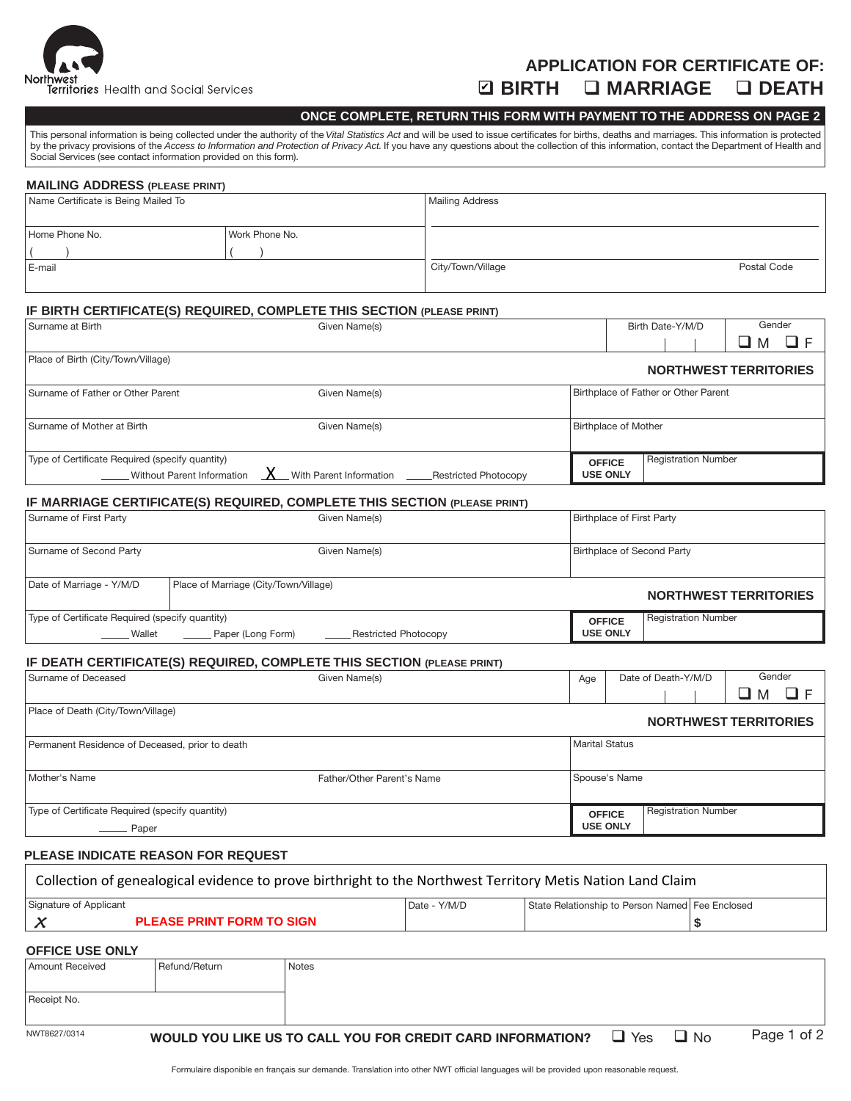

## **APPLICATION FOR CERTIFICATE OF: BIRTH MARRIAGE DEATH** ✔

### **ONCE COMPLETE, RETURN THIS FORM WITH PAYMENT TO THE ADDRESS ON PAGE 2**

This personal information is being collected under the authority of the *Vital Statistics Act* and will be used to issue certificates for births, deaths and marriages. This information is protected by the privacy provisions of the Access to Information and Protection of Privacy Act. If you have any questions about the collection of this information, contact the Department of Health and Social Services (see contact information provided on this form).

| <b>MAILING ADDRESS (PLEASE PRINT)</b> |                |                   |             |  |  |
|---------------------------------------|----------------|-------------------|-------------|--|--|
| Name Certificate is Being Mailed To   |                | Mailing Address   |             |  |  |
|                                       |                |                   |             |  |  |
| Home Phone No.                        | Work Phone No. |                   |             |  |  |
|                                       |                |                   |             |  |  |
| E-mail                                |                | City/Town/Village | Postal Code |  |  |
|                                       |                |                   |             |  |  |

#### **IF BIRTH CERTIFICATE(S) REQUIRED, COMPLETE THIS SECTION (PLEASE PRINT)**

| l Surname at Birth                              | Given Name(s) |  |                             | Birth Date-Y/M/D                     |        | Gender |  |
|-------------------------------------------------|---------------|--|-----------------------------|--------------------------------------|--------|--------|--|
|                                                 |               |  |                             |                                      | ப<br>M |        |  |
| Place of Birth (City/Town/Village)              |               |  |                             |                                      |        |        |  |
|                                                 |               |  |                             | <b>NORTHWEST TERRITORIES</b>         |        |        |  |
| Surname of Father or Other Parent               | Given Name(s) |  |                             | Birthplace of Father or Other Parent |        |        |  |
|                                                 |               |  |                             |                                      |        |        |  |
| Surname of Mother at Birth                      | Given Name(s) |  | <b>Birthplace of Mother</b> |                                      |        |        |  |
|                                                 |               |  |                             |                                      |        |        |  |
| Type of Certificate Required (specify quantity) |               |  | <b>OFFICE</b>               | <b>Registration Number</b>           |        |        |  |
|                                                 |               |  | <b>USE ONLY</b>             |                                      |        |        |  |

#### **IF MARRIAGE CERTIFICATE(S) REQUIRED, COMPLETE THIS SECTION (PLEASE PRINT)**

| Type of Certificate Required (specify quantity)<br>Wallet | Restricted Photocopy<br>Paper (Long Form) | <b>OFFICE</b><br><b>USE ONLY</b>  | <b>Registration Number</b>   |  |
|-----------------------------------------------------------|-------------------------------------------|-----------------------------------|------------------------------|--|
| Date of Marriage - Y/M/D                                  | Place of Marriage (City/Town/Village)     |                                   | <b>NORTHWEST TERRITORIES</b> |  |
| Surname of Second Party                                   | Given Name(s)                             | <b>Birthplace of Second Party</b> |                              |  |
| Surname of First Party                                    | Given Name(s)                             | Birthplace of First Party         |                              |  |

#### **IF DEATH CERTIFICATE(S) REQUIRED, COMPLETE THIS SECTION (PLEASE PRINT)**

| Surname of Deceased                             | Given Name(s)              |                       | Age             | Date of Death-Y/M/D |  | Gender                       |           |  |  |
|-------------------------------------------------|----------------------------|-----------------------|-----------------|---------------------|--|------------------------------|-----------|--|--|
|                                                 |                            |                       |                 |                     |  |                              | ا اے<br>M |  |  |
| Place of Death (City/Town/Village)              |                            |                       |                 |                     |  |                              |           |  |  |
|                                                 |                            |                       |                 |                     |  | <b>NORTHWEST TERRITORIES</b> |           |  |  |
| Permanent Residence of Deceased, prior to death |                            | <b>Marital Status</b> |                 |                     |  |                              |           |  |  |
|                                                 |                            |                       |                 |                     |  |                              |           |  |  |
| Mother's Name                                   | Father/Other Parent's Name |                       |                 | Spouse's Name       |  |                              |           |  |  |
|                                                 |                            |                       |                 |                     |  |                              |           |  |  |
| Type of Certificate Required (specify quantity) |                            |                       |                 | <b>OFFICE</b>       |  | <b>Registration Number</b>   |           |  |  |
| <u>__</u> _____ Paper                           |                            |                       | <b>USE ONLY</b> |                     |  |                              |           |  |  |

#### **PLEASE INDICATE REASON FOR REQUEST**

| Collection of genealogical evidence to prove birthright to the Northwest Territory Metis Nation Land Claim |  |  |  |  |  |
|------------------------------------------------------------------------------------------------------------|--|--|--|--|--|
| State Relationship to Person Named Fee Enclosed<br>l Date - Y/M/D<br>Signature of Applicant                |  |  |  |  |  |
| <b>PLEASE PRINT FORM TO SIGN</b>                                                                           |  |  |  |  |  |
| <b>OFFICE USE ONLY</b>                                                                                     |  |  |  |  |  |

| l Amount Received | Refund/Return | <b>Notes</b>                                               |            |      |             |
|-------------------|---------------|------------------------------------------------------------|------------|------|-------------|
|                   |               |                                                            |            |      |             |
| Receipt No.       |               |                                                            |            |      |             |
|                   |               |                                                            |            |      |             |
| NWT8627/0314      |               | WOULD YOU LIKE US TO CALL YOU FOR CREDIT CARD INFORMATION? | $\Box$ Yes | ⊔ No | Page 1 of 2 |